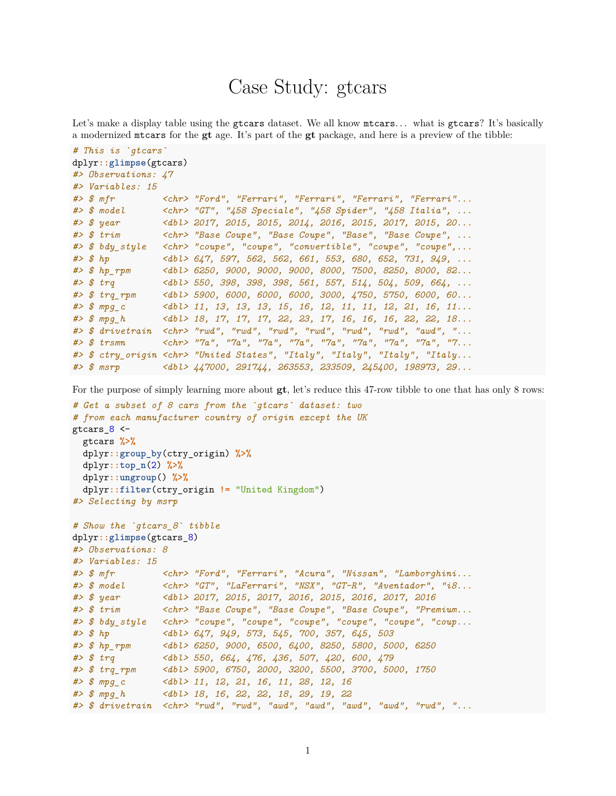# Case Study: gtcars

Let's make a display table using the gtcars dataset. We all know mtcars... what is gtcars? It's basically a modernized mtcars for the **gt** age. It's part of the **gt** package, and here is a preview of the tibble:

```
# This is `gtcars`
dplyr::glimpse(gtcars)
#> Observations: 47
#> Variables: 15
#> $ mfr <chr> "Ford", "Ferrari", "Ferrari", "Ferrari", "Ferrari"...
#> $ model <chr> "GT", "458 Speciale", "458 Spider", "458 Italia", ...
#> $ year <dbl> 2017, 2015, 2015, 2014, 2016, 2015, 2017, 2015, 20...
                #> $ trim <chr> "Base Coupe", "Base Coupe", "Base", "Base Coupe", ...
#> $ bdy_style <chr> "coupe", "coupe", "convertible", "coupe", "coupe",...
#> $ hp <dbl> 647, 597, 562, 562, 661, 553, 680, 652, 731, 949, ...
#> $ hp_rpm <dbl> 6250, 9000, 9000, 9000, 8000, 7500, 8250, 8000, 82...
#> $ trq <dbl> 550, 398, 398, 398, 561, 557, 514, 504, 509, 664, ...
#> $ trq_rpm <dbl> 5900, 6000, 6000, 6000, 3000, 4750, 5750, 6000, 60...
#> $ mpg_c <dbl> 11, 13, 13, 13, 15, 16, 12, 11, 11, 12, 21, 16, 11...
#> $ mpg_h <dbl> 18, 17, 17, 17, 22, 23, 17, 16, 16, 16, 22, 22, 18...
#> $ drivetrain <chr> "rwd", "rwd", "rwd", "rwd", "rwd", "rwd", "awd", "...
#> $ trsmn <chr> "7a", "7a", "7a", "7a", "7a", "7a", "7a", "7a", "7...
#> $ ctry_origin <chr> "United States", "Italy", "Italy", "Italy", "Italy...
#> $ msrp <dbl> 447000, 291744, 263553, 233509, 245400, 198973, 29...
```
For the purpose of simply learning more about **gt**, let's reduce this 47-row tibble to one that has only 8 rows:

```
# Get a subset of 8 cars from the `gtcars` dataset: two
# from each manufacturer country of origin except the UK
gtcars_8 <-
 gtcars %>%
 dplyr::group_by(ctry_origin) %>%
 dplyr::top_n(2) %>%
 dplyr::ungroup() %>%
 dplyr::filter(ctry_origin != "United Kingdom")
#> Selecting by msrp
# Show the `gtcars_8` tibble
dplyr::glimpse(gtcars_8)
#> Observations: 8
#> Variables: 15
#> $ mfr <chr> "Ford", "Ferrari", "Acura", "Nissan", "Lamborghini...
#> $ model <chr> "GT", "LaFerrari", "NSX", "GT-R", "Aventador", "i8...
#> $ year <dbl> 2017, 2015, 2017, 2016, 2015, 2016, 2017, 2016
#> $ trim <chr> "Base Coupe", "Base Coupe", "Base Coupe", "Premium...
#> $ bdy_style <chr> "coupe", "coupe", "coupe", "coupe", "coupe", "coup...
#> $ hp <dbl> 647, 949, 573, 545, 700, 357, 645, 503
#> $ hp_rpm <dbl> 6250, 9000, 6500, 6400, 8250, 5800, 5000, 6250
#> $ trq <dbl> 550, 664, 476, 436, 507, 420, 600, 479
                #> $ trq_rpm <dbl> 5900, 6750, 2000, 3200, 5500, 3700, 5000, 1750
#> $ mpg_c <dbl> 11, 12, 21, 16, 11, 28, 12, 16
#> $ mpg_h <dbl> 18, 16, 22, 22, 18, 29, 19, 22
#> $ drivetrain <chr> "rwd", "rwd", "awd", "awd", "awd", "awd", "rwd", "...
```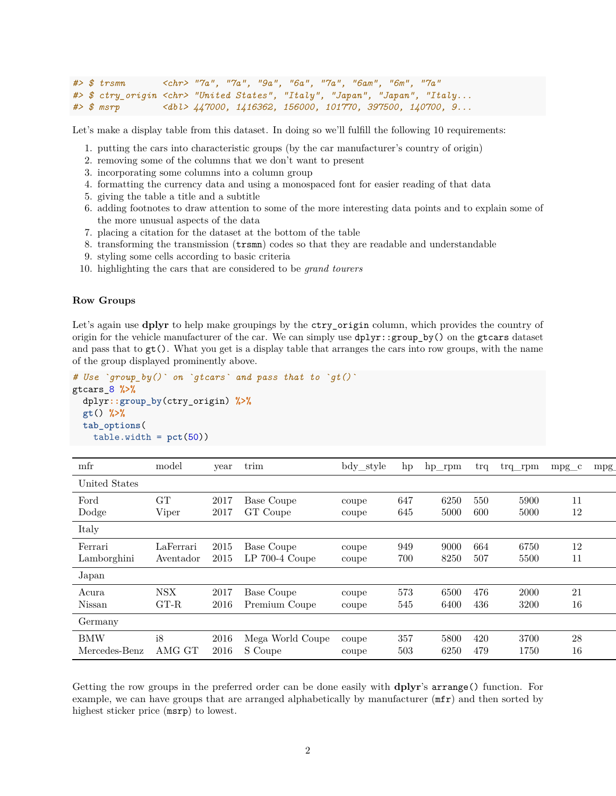```
#> $ trsmn <chr> "7a", "7a", "9a", "6a", "7a", "6am", "6m", "7a"
#> $ ctry_origin <chr> "United States", "Italy", "Japan", "Japan", "Italy...
                 #> $ msrp <dbl> 447000, 1416362, 156000, 101770, 397500, 140700, 9...
```
Let's make a display table from this dataset. In doing so we'll fulfill the following 10 requirements:

- 1. putting the cars into characteristic groups (by the car manufacturer's country of origin)
- 2. removing some of the columns that we don't want to present
- 3. incorporating some columns into a column group
- 4. formatting the currency data and using a monospaced font for easier reading of that data
- 5. giving the table a title and a subtitle
- 6. adding footnotes to draw attention to some of the more interesting data points and to explain some of the more unusual aspects of the data
- 7. placing a citation for the dataset at the bottom of the table
- 8. transforming the transmission (trsmn) codes so that they are readable and understandable
- 9. styling some cells according to basic criteria
- 10. highlighting the cars that are considered to be *grand tourers*

#### **Row Groups**

Let's again use **dplyr** to help make groupings by the ctry\_origin column, which provides the country of origin for the vehicle manufacturer of the car. We can simply use dplyr::group\_by() on the gtcars dataset and pass that to gt(). What you get is a display table that arranges the cars into row groups, with the name of the group displayed prominently above.

```
# Use `group_by()` on `gtcars` and pass that to `gt()`
gtcars_8 %>%
  dplyr::group_by(ctry_origin) %>%
  gt() %>%
  tab_options(
    table.width = <math>pt(50)</math>)
```

| mfr           | model     | year | trim             | bdy_style | hp  | $hp$ _rpm | trq | $trq$ _rpm | $mpg_c$ | mpg |
|---------------|-----------|------|------------------|-----------|-----|-----------|-----|------------|---------|-----|
| United States |           |      |                  |           |     |           |     |            |         |     |
| Ford          | GT        | 2017 | Base Coupe       | coupe     | 647 | 6250      | 550 | 5900       | 11      |     |
| Dodge         | Viper     | 2017 | GT Coupe         | coupe     | 645 | 5000      | 600 | 5000       | 12      |     |
| Italy         |           |      |                  |           |     |           |     |            |         |     |
| Ferrari       | LaFerrari | 2015 | Base Coupe       | coupe     | 949 | 9000      | 664 | 6750       | 12      |     |
| Lamborghini   | Aventador | 2015 | LP 700-4 Coupe   | coupe     | 700 | 8250      | 507 | 5500       | 11      |     |
| Japan         |           |      |                  |           |     |           |     |            |         |     |
| Acura         | NSX       | 2017 | Base Coupe       | coupe     | 573 | 6500      | 476 | 2000       | 21      |     |
| Nissan        | $G$ T-R   | 2016 | Premium Coupe    | coupe     | 545 | 6400      | 436 | 3200       | 16      |     |
| Germany       |           |      |                  |           |     |           |     |            |         |     |
| <b>BMW</b>    | i8        | 2016 | Mega World Coupe | coupe     | 357 | 5800      | 420 | 3700       | 28      |     |
| Mercedes-Benz | AMG GT    | 2016 | S Coupe          | coupe     | 503 | 6250      | 479 | 1750       | 16      |     |
|               |           |      |                  |           |     |           |     |            |         |     |

Getting the row groups in the preferred order can be done easily with **dplyr**'s arrange() function. For example, we can have groups that are arranged alphabetically by manufacturer (mfr) and then sorted by highest sticker price (msrp) to lowest.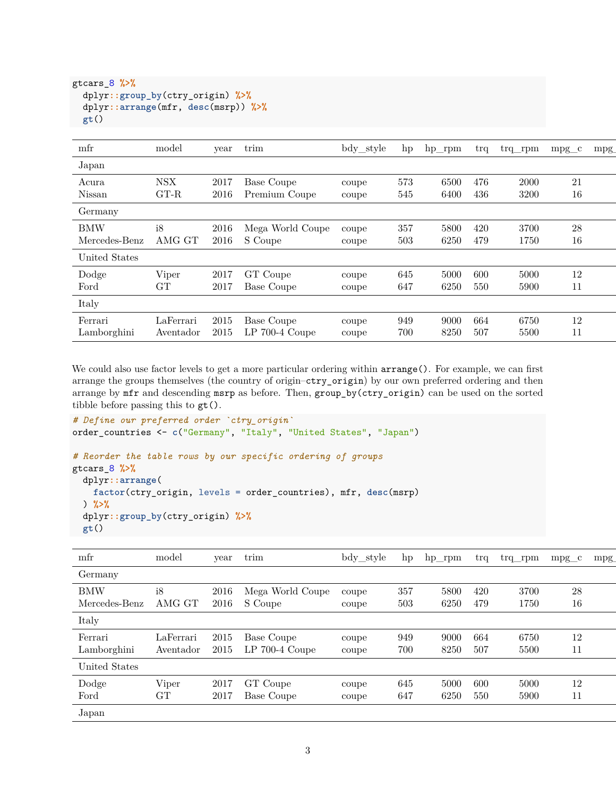```
gtcars_8 %>%
  dplyr::group_by(ctry_origin) %>%
  dplyr::arrange(mfr, desc(msrp)) %>%
  gt()
```

| Japan<br><b>NSX</b><br>573<br>21<br>2017<br>Base Coupe<br>6500<br>476<br>2000<br>Acura<br>coupe<br>$G$ T-R<br>16<br>Nissan<br>2016<br>545<br>6400<br>436<br>3200<br>Premium Coupe<br>coupe<br>Germany<br><b>BMW</b><br>i8<br>Mega World Coupe<br>357<br>28<br>2016<br>5800<br>420<br>3700<br>coupe<br>AMG GT<br>S Coupe<br>16<br>Mercedes-Benz<br>2016<br>503<br>6250<br>479<br>1750<br>coupe<br>United States<br>Dodge<br>Viper<br>GT Coupe<br>645<br>5000<br>600<br>5000<br>12<br>2017<br>coupe<br><b>GT</b><br>11<br>2017<br>647<br>6250<br>550<br>5900<br>Base Coupe<br>Ford<br>coupe<br>Italy<br>LaFerrari<br>6750<br>12<br>2015<br>949<br>9000<br>664<br>Ferrari<br>Base Coupe<br>coupe<br>$LP$ 700-4 Coupe<br>8250<br>11<br>Lamborghini<br>2015<br>700<br>507<br>5500<br>Aventador<br>coupe | mfr | model | year | trim | bdy_style | hp | $hp$ _rpm | trq | trq rpm | $mpg_c$ | mpg |
|----------------------------------------------------------------------------------------------------------------------------------------------------------------------------------------------------------------------------------------------------------------------------------------------------------------------------------------------------------------------------------------------------------------------------------------------------------------------------------------------------------------------------------------------------------------------------------------------------------------------------------------------------------------------------------------------------------------------------------------------------------------------------------------------------|-----|-------|------|------|-----------|----|-----------|-----|---------|---------|-----|
|                                                                                                                                                                                                                                                                                                                                                                                                                                                                                                                                                                                                                                                                                                                                                                                                    |     |       |      |      |           |    |           |     |         |         |     |
|                                                                                                                                                                                                                                                                                                                                                                                                                                                                                                                                                                                                                                                                                                                                                                                                    |     |       |      |      |           |    |           |     |         |         |     |
|                                                                                                                                                                                                                                                                                                                                                                                                                                                                                                                                                                                                                                                                                                                                                                                                    |     |       |      |      |           |    |           |     |         |         |     |
|                                                                                                                                                                                                                                                                                                                                                                                                                                                                                                                                                                                                                                                                                                                                                                                                    |     |       |      |      |           |    |           |     |         |         |     |
|                                                                                                                                                                                                                                                                                                                                                                                                                                                                                                                                                                                                                                                                                                                                                                                                    |     |       |      |      |           |    |           |     |         |         |     |
|                                                                                                                                                                                                                                                                                                                                                                                                                                                                                                                                                                                                                                                                                                                                                                                                    |     |       |      |      |           |    |           |     |         |         |     |
|                                                                                                                                                                                                                                                                                                                                                                                                                                                                                                                                                                                                                                                                                                                                                                                                    |     |       |      |      |           |    |           |     |         |         |     |
|                                                                                                                                                                                                                                                                                                                                                                                                                                                                                                                                                                                                                                                                                                                                                                                                    |     |       |      |      |           |    |           |     |         |         |     |

We could also use factor levels to get a more particular ordering within  $\alpha$ rrange(). For example, we can first arrange the groups themselves (the country of origin–ctry\_origin) by our own preferred ordering and then arrange by mfr and descending msrp as before. Then, group\_by(ctry\_origin) can be used on the sorted tibble before passing this to gt().

```
# Define our preferred order `ctry_origin`
order_countries <- c("Germany", "Italy", "United States", "Japan")
# Reorder the table rows by our specific ordering of groups
gtcars_8 %>%
 dplyr::arrange(
   factor(ctry_origin, levels = order_countries), mfr, desc(msrp)
 ) %>%
 dplyr::group_by(ctry_origin) %>%
 gt()
```

| mfr           | model     | year | trim             | bdy_style | hp      | $hp$ _rpm | trq | $trq$ _rpm | $mpg_c$ | mpg |
|---------------|-----------|------|------------------|-----------|---------|-----------|-----|------------|---------|-----|
| Germany       |           |      |                  |           |         |           |     |            |         |     |
| <b>BMW</b>    | i8        | 2016 | Mega World Coupe | coupe     | $357\,$ | 5800      | 420 | 3700       | 28      |     |
| Mercedes-Benz | AMG GT    | 2016 | S Coupe          | coupe     | 503     | 6250      | 479 | 1750       | 16      |     |
| Italy         |           |      |                  |           |         |           |     |            |         |     |
| Ferrari       | LaFerrari | 2015 | Base Coupe       | coupe     | 949     | 9000      | 664 | 6750       | 12      |     |
| Lamborghini   | Aventador | 2015 | $LP$ 700-4 Coupe | coupe     | 700     | 8250      | 507 | 5500       | 11      |     |
| United States |           |      |                  |           |         |           |     |            |         |     |
| Dodge         | Viper     | 2017 | GT Coupe         | coupe     | 645     | 5000      | 600 | 5000       | 12      |     |
| Ford          | GТ        | 2017 | Base Coupe       | coupe     | 647     | 6250      | 550 | 5900       | 11      |     |
| Japan         |           |      |                  |           |         |           |     |            |         |     |
|               |           |      |                  |           |         |           |     |            |         |     |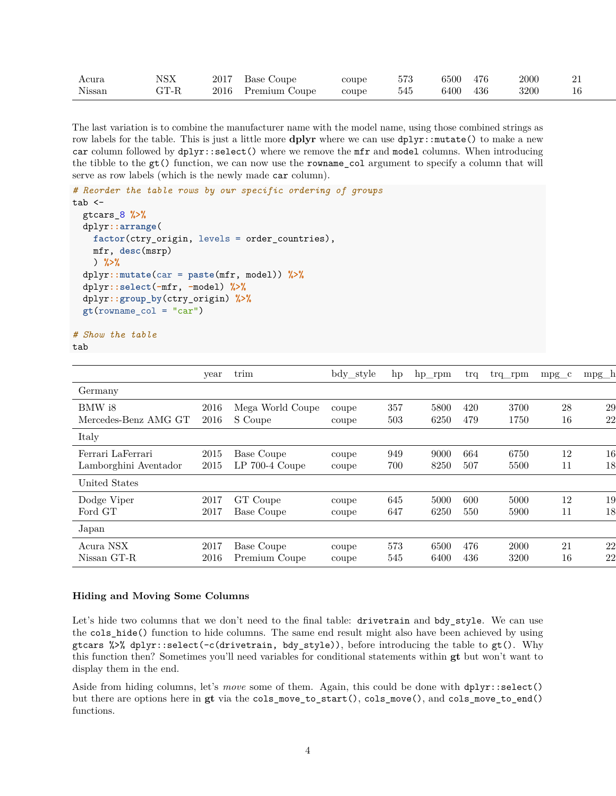| Acura       | <b>NSX</b>          | 2017 | Coupe<br>Base    | coupe | FFA<br>∪≀⊾  | 6500             | 476 | 200C | --             |
|-------------|---------------------|------|------------------|-------|-------------|------------------|-----|------|----------------|
| T<br>Nissan | $\cap$ T D<br>տ 1-ռ | 2016 | Premium<br>Coupe | coupe | $ +$<br>54t | $\frac{3400}{5}$ | 436 | 3200 | $\overline{1}$ |

The last variation is to combine the manufacturer name with the model name, using those combined strings as row labels for the table. This is just a little more **dplyr** where we can use  $dp\text{lyr}$ : mutate() to make a new car column followed by dplyr::select() where we remove the mfr and model columns. When introducing the tibble to the gt() function, we can now use the rowname\_col argument to specify a column that will serve as row labels (which is the newly made car column).

```
# Reorder the table rows by our specific ordering of groups
tab < -gtcars_8 %>%
  dplyr::arrange(
   factor(ctry_origin, levels = order_countries),
   mfr, desc(msrp)
   ) %>%
  dplyr::mutate(car = paste(mfr, model)) %>%
  dplyr::select(-mfr, -model) %>%
  dplyr::group_by(ctry_origin) %>%
  gt(rowname_col = "car")
```
*# Show the table* tab

```
year trim bdy_style hp hp_rpm trq trq_rpm mpg_c mpg_h
Germany
BMW i8 2016 Mega World Coupe coupe 357 5800 420 3700 28 29
Mercedes-Benz AMG GT 2016 S Coupe coupe 503 6250 479 1750 16 22
Italy
Ferrari LaFerrari 2015 Base Coupe coupe 949 9000 664 6750 12 16 rwd 7a 1416362
Lamborghini Aventador 2015 LP 700-4 Coupe coupe 700 8250 507 5500 11 18
United States
Dodge Viper 2017 GT Coupe coupe 645 5000 600 5000 12 19 rwd 6m 95895
Ford GT 2017 Base Coupe coupe 647 6250 550 5900 11 18 rwd 7a 447000
Japan
Acura NSX 2017 Base Coupe coupe 573 6500 476 2000 21 22
Nissan GT-R 2016 Premium Coupe coupe 545 6400 436 3200 16 22
```
#### **Hiding and Moving Some Columns**

Let's hide two columns that we don't need to the final table: drivetrain and bdy\_style. We can use the cols\_hide() function to hide columns. The same end result might also have been achieved by using gtcars %>% dplyr::select(-c(drivetrain, bdy\_style)), before introducing the table to gt(). Why this function then? Sometimes you'll need variables for conditional statements within **gt** but won't want to display them in the end.

Aside from hiding columns, let's *move* some of them. Again, this could be done with dplyr::select() but there are options here in **gt** via the cols\_move\_to\_start(), cols\_move(), and cols\_move\_to\_end() functions.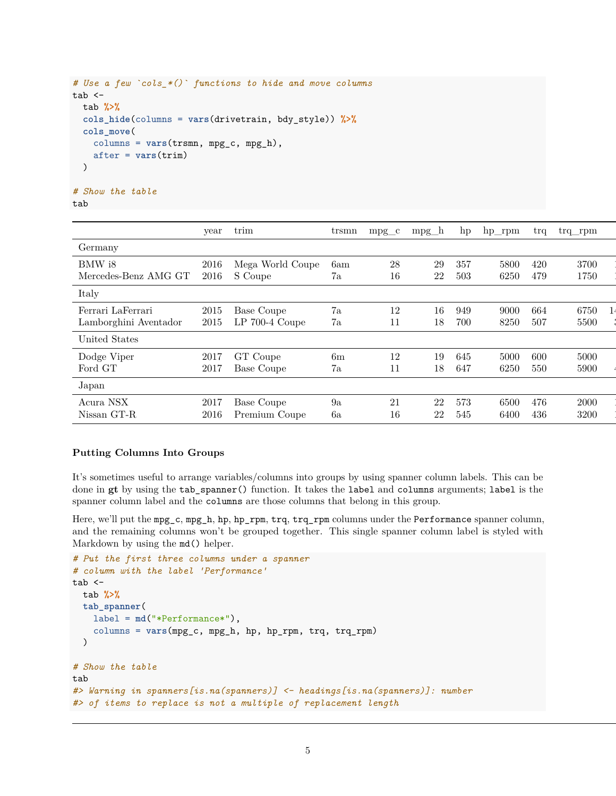```
# Use a few `cols_*()` functions to hide and move columns
tab < -tab %>%
  cols_hide(columns = vars(drivetrain, bdy_style)) %>%
  cols_move(
    columns = vars(trsmn, mpg_c, mpg_h),
    after = vars(trim)
  )
# Show the table
```

```
tab
```

```
\gammayear trim tr\gamma tramn mpg_c mpg_h hp hp_rpm trq trq_rpm
Germany
BMW i8 2016 Mega World Coupe 6am 28 29 357 5800 420 3700
Mercedes-Benz AMG GT 2016 S Coupe 7a 16 22 503 6250 479 1750
Italy
Ferrari LaFerrari 2015 Base Coupe 7a 12 16 949 9000 664 6750
Lamborghini Aventador 2015 LP 700-4 Coupe 7a 11 18 700 8250 507 5500
United States
Dodge Viper 2017 GT Coupe 6m 12 19 645 5000 600 5000 95895
Ford GT 2017 Base Coupe 7a 11 18 647 6250 550 5900 447000
Japan
Acura NSX 2017 Base Coupe 9a 21 22 573 6500 476 2000 156000
Nissan GT-R 2016 Premium Coupe 6a 16 22 545 6400 436 3200
```
## **Putting Columns Into Groups**

It's sometimes useful to arrange variables/columns into groups by using spanner column labels. This can be done in **gt** by using the tab\_spanner() function. It takes the label and columns arguments; label is the spanner column label and the columns are those columns that belong in this group.

Here, we'll put the mpg\_c, mpg\_h, hp, hp\_rpm, trq, trq\_rpm columns under the Performance spanner column, and the remaining columns won't be grouped together. This single spanner column label is styled with Markdown by using the md() helper.

```
# Put the first three columns under a spanner
# column with the label 'Performance'
tab < -tab %>%
  tab_spanner(
   label = md("*Performance*"),
    columns = vars(mpg_c, mpg_h, hp, hp_rpm, trq, trq_rpm)
  )
# Show the table
tab
#> Warning in spanners[is.na(spanners)] <- headings[is.na(spanners)]: number
#> of items to replace is not a multiple of replacement length
```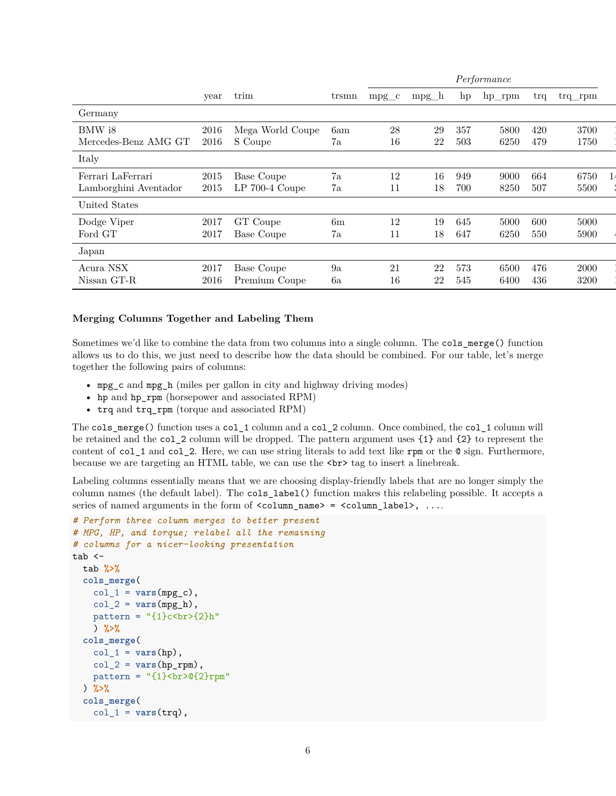|                       |      |                   |       |         |         |     | Performance |     |         |  |
|-----------------------|------|-------------------|-------|---------|---------|-----|-------------|-----|---------|--|
|                       | year | trim              | trsmn | $mpg_c$ | $mpg_h$ | hp  | $hp$ _rpm   | trq | trq rpm |  |
| Germany               |      |                   |       |         |         |     |             |     |         |  |
| BMW i8                | 2016 | Mega World Coupe  | 6am   | 28      | 29      | 357 | 5800        | 420 | 3700    |  |
| Mercedes-Benz AMG GT  | 2016 | S Coupe           | 7a    | 16      | 22      | 503 | 6250        | 479 | 1750    |  |
| Italy                 |      |                   |       |         |         |     |             |     |         |  |
| Ferrari LaFerrari     | 2015 | Base Coupe        | 7a    | 12      | 16      | 949 | 9000        | 664 | 6750    |  |
| Lamborghini Aventador | 2015 | $LP$ 700-4 Coupe  | 7a    | 11      | 18      | 700 | 8250        | 507 | 5500    |  |
| United States         |      |                   |       |         |         |     |             |     |         |  |
| Dodge Viper           | 2017 | GT Coupe          | 6m    | 12      | 19      | 645 | 5000        | 600 | 5000    |  |
| Ford GT               | 2017 | <b>Base Coupe</b> | 7a    | 11      | 18      | 647 | 6250        | 550 | 5900    |  |
| Japan                 |      |                   |       |         |         |     |             |     |         |  |
| Acura ${\rm NSX}$     | 2017 | Base Coupe        | 9a    | 21      | 22      | 573 | 6500        | 476 | 2000    |  |
| Nissan GT-R           | 2016 | Premium Coupe     | 6a    | 16      | 22      | 545 | 6400        | 436 | 3200    |  |

#### **Merging Columns Together and Labeling Them**

Sometimes we'd like to combine the data from two columns into a single column. The cols\_merge() function allows us to do this, we just need to describe how the data should be combined. For our table, let's merge together the following pairs of columns:

- mpg\_c and mpg\_h (miles per gallon in city and highway driving modes)
- hp and hp\_rpm (horsepower and associated RPM)
- trq and trq\_rpm (torque and associated RPM)

The cols merge() function uses a col 1 column and a col 2 column. Once combined, the col 1 column will be retained and the col\_2 column will be dropped. The pattern argument uses {1} and {2} to represent the content of col\_1 and col\_2. Here, we can use string literals to add text like rpm or the @ sign. Furthermore, because we are targeting an HTML table, we can use the <br> tag to insert a linebreak.

Labeling columns essentially means that we are choosing display-friendly labels that are no longer simply the column names (the default label). The cols\_label() function makes this relabeling possible. It accepts a series of named arguments in the form of  $\texttt{ccolumn_name>} = \texttt{column_labels}$ , ...

```
# Perform three column merges to better present
# MPG, HP, and torque; relabel all the remaining
# columns for a nicer-looking presentation
tab < -tab %>%
  cols_merge(
    col_1 = \text{vars}(\text{mpg}_c),
    col 2 = vars(npg h),
    pattern = "(1)c<br>2}<b>h</b>") %>%
  cols_merge(
    col_1 = vars(hp),
    col_2 = vars(hp_rpm),
    pattern = "{1} \cdots br>@{2}rpm"
  ) %>%
  cols_merge(
    col_1 = vars(trq),
```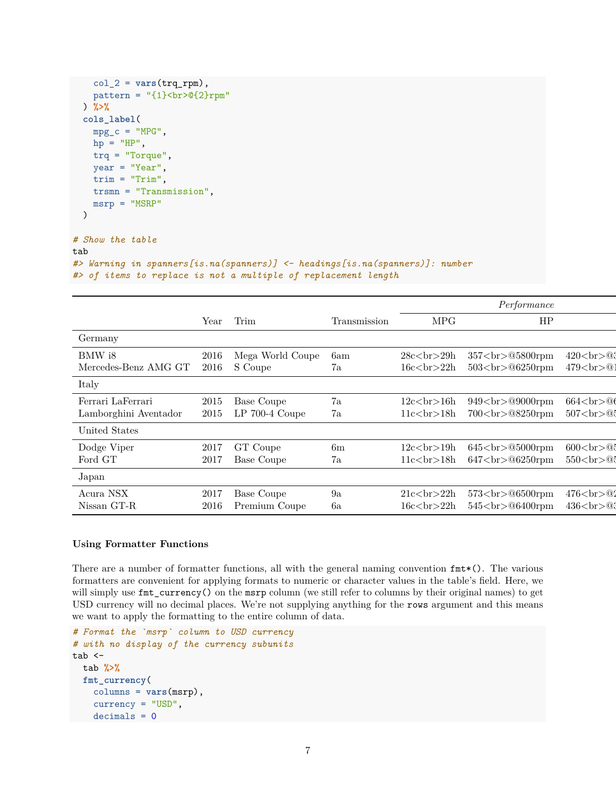```
col_2 = vars(trq_rpm),
    pattern = "(1}\langle b r \rangle @<{2}\r{rpm"}) %>%
  cols_label(
    mpg_c = "MPG",hp = "HP",trq = "Torque",
    year = "Year",trim = "Trim",
    trsmn = "Transmission",
    msrp = "MSRP"
  )
# Show the table
tab
```

```
#> Warning in spanners[is.na(spanners)] <- headings[is.na(spanners)]: number
#> of items to replace is not a multiple of replacement length
```

| <b>MPG</b><br>HP<br>Trim<br>Year<br>Transmission                                             |                                      |
|----------------------------------------------------------------------------------------------|--------------------------------------|
| Germany                                                                                      |                                      |
| BMW i8<br>Mega World Coupe<br>357<br>05800rpm<br>28c <sub>br</sub> >29h<br>2016<br>6am       | $420 < b$ r>@3                       |
| S Coupe<br>Mercedes-Benz AMG GT<br>$503$<br>$@6250$ rpm<br>16c<br>ch>22h<br>2016<br>7a       | $479 < b$ r>@1                       |
| Italy                                                                                        |                                      |
| Ferrari LaFerrari<br>7a<br>2015<br>Base Coupe<br>12c<br>ch>16h<br>949<br>09000rpm            | $664 <\!\!{\rm br}\!\!>\!\!{\rm O}($ |
| Lamborghini Aventador<br>$LP$ 700-4 Coupe<br>700<br>08250rpm<br>2015<br>11c<br>chr>18h<br>7a | $507 <\!\!{\rm br}\!\!>\!\!{\rm Q}$  |
| United States                                                                                |                                      |
| 6m<br>$645$<br>$@5000$ rpm<br>Dodge Viper<br>GT Coupe<br>12c<br>br>19h<br>2017               | $600 < b$ r>@                        |
| Ford GT<br>$647$ shr $>$ 06250rpm<br>Base Coupe<br>7a<br>11c<br>chr>18h<br>2017              | 550 < br > 0                         |
| Japan                                                                                        |                                      |
| Acura ${\rm NSX}$<br>9a<br>2017<br>$573$ $\rm\n06500$ rpm<br>Base Coupe<br>21c<br>chr>22h    | $476 < b$ r>@2                       |
| Nissan GT-R<br>$545$<br>$@6400$ rpm<br>Premium Coupe<br>$16cch22h$<br>2016<br>6a             | $436 < b$ r>@3                       |

#### **Using Formatter Functions**

There are a number of formatter functions, all with the general naming convention  $fmt*($ ). The various formatters are convenient for applying formats to numeric or character values in the table's field. Here, we will simply use  $fmt\_currency()$  on the msrp column (we still refer to columns by their original names) to get USD currency will no decimal places. We're not supplying anything for the rows argument and this means we want to apply the formatting to the entire column of data.

```
# Format the `msrp` column to USD currency
# with no display of the currency subunits
tab < -tab %>%
  fmt_currency(
   columns = vars(msrp),
   currency = "USD",
   decimals = 0
```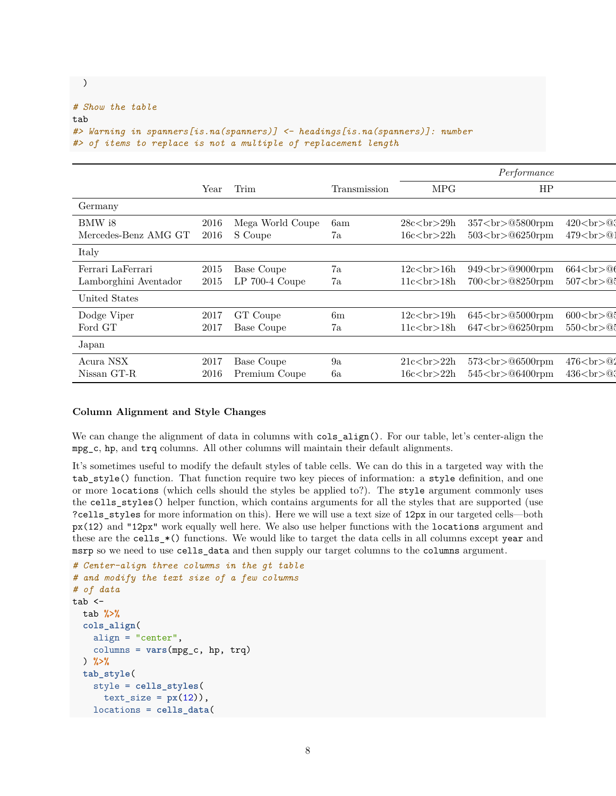```
# Show the table
tab
#> Warning in spanners[is.na(spanners)] <- headings[is.na(spanners)]: number
#> of items to replace is not a multiple of replacement length
```

|                       |      |                  |              |                | Performance                |                                |
|-----------------------|------|------------------|--------------|----------------|----------------------------|--------------------------------|
|                       | Year | Trim             | Transmission | MPG.           | HP                         |                                |
| Germany               |      |                  |              |                |                            |                                |
| BMW i8                | 2016 | Mega World Coupe | 6am          | 28c<br>br>29h  | $357$ shr $\geq$ 05800 rpm | 420<br>@3                      |
| Mercedes-Benz AMG GT  | 2016 | S Coupe          | 7a           | 16c<br>22h     | $503$ shr > $@6250$ rpm    | $479 < b$ r>@1                 |
| Italy                 |      |                  |              |                |                            |                                |
| Ferrari LaFerrari     | 2015 | Base Coupe       | 7a           | 12c<br>ch>16h  | $949$ shr> $@9000$ rpm     | $664 <\!\!{\rm br}\!\!>\!\!06$ |
| Lamborghini Aventador | 2015 | $LP$ 700-4 Coupe | 7a           | 11c<br>ch>18h  | 700<br>08250rpm            | 507 < br > 0.5                 |
| United States         |      |                  |              |                |                            |                                |
| Dodge Viper           | 2017 | GT Coupe         | 6m           | 12c<br>br>19h  | $645$<br>$@5000$ rpm       | $600 < b$ r>@                  |
| Ford GT               | 2017 | Base Coupe       | 7a           | 11c<br>chr>18h | $647$<br>06250rpm          | 550 < br > 0                   |
| Japan                 |      |                  |              |                |                            |                                |
| Acura ${\rm NSX}$     | 2017 | Base Coupe       | 9a           | 21c<br>ch>22h  | $573$ $\rm\n06500$ rpm     | 476<br>02                      |
| Nissan GT-R           | 2016 | Premium Coupe    | 6a           | 16c<br>ch>22h  | $545$<br>$@6400$ rpm       | $436 < b$ r>@3                 |

#### **Column Alignment and Style Changes**

We can change the alignment of data in columns with  $\texttt{cols}_\texttt{align}()$ . For our table, let's center-align the mpg\_c, hp, and trq columns. All other columns will maintain their default alignments.

It's sometimes useful to modify the default styles of table cells. We can do this in a targeted way with the tab\_style() function. That function require two key pieces of information: a style definition, and one or more locations (which cells should the styles be applied to?). The style argument commonly uses the cells\_styles() helper function, which contains arguments for all the styles that are supported (use ?cells\_styles for more information on this). Here we will use a text size of 12px in our targeted cells—both px(12) and "12px" work equally well here. We also use helper functions with the locations argument and these are the cells\_\*() functions. We would like to target the data cells in all columns except year and msrp so we need to use cells\_data and then supply our target columns to the columns argument.

```
# Center-align three columns in the gt table
# and modify the text size of a few columns
# of data
tab < -tab %>%
  cols_align(
   align = "center",
   columns = vars(mpg_c, hp, trq)
  ) %>%
  tab_style(
   style = cells_styles(
     text_size = px(12),
   locations = cells_data(
```
)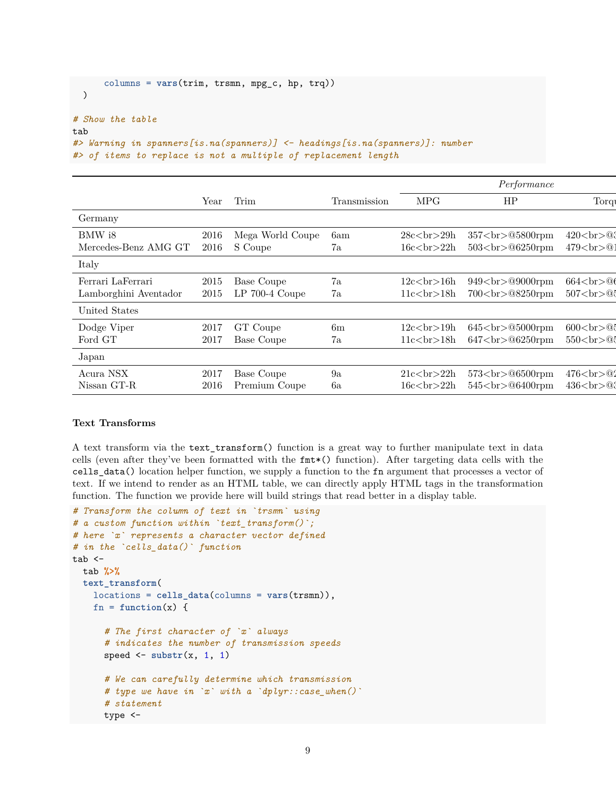```
columns = vars(trim, trsmn, mpg_c, hp, trq))
 )
# Show the table
tab
#> Warning in spanners[is.na(spanners)] <- headings[is.na(spanners)]: number
#> of items to replace is not a multiple of replacement length
```

|                       |      |                  |              |                | Performance            |                                     |
|-----------------------|------|------------------|--------------|----------------|------------------------|-------------------------------------|
|                       | Year | Trim             | Transmission | <b>MPG</b>     | HP                     | Torqu                               |
| Germany               |      |                  |              |                |                        |                                     |
| BMW i8                | 2016 | Mega World Coupe | 6am          | 28c<br>ch>29h  | $357$<br>> 05800rpm    | $420 < b$ r>@3                      |
| Mercedes-Benz AMG GT  | 2016 | S Coupe          | 7a           | 16c<br>ch>22h  | $503$<br>$@6250$ rpm   | $479 < b$ r>@1                      |
| Italy                 |      |                  |              |                |                        |                                     |
| Ferrari LaFerrari     | 2015 | Base Coupe       | 7a           | 12c<br>chr>16h | $949$ shr> $@9000$ rpm | $664 <\!\!{\rm br}\!\!>\!\!06$      |
| Lamborghini Aventador | 2015 | LP 700-4 Coupe   | 7a           | 11c<br>chr>18h | $700$ s $\> 08250$ rpm | $507 <\!\!{\rm br}\!\!>\!\!{\rm Q}$ |
| United States         |      |                  |              |                |                        |                                     |
| Dodge Viper           | 2017 | GT Coupe         | 6m           | 12c<br>br>19h  | $645$<br>$@5000$ rpm   | $600 < b$ r>@                       |
| Ford GT               | 2017 | Base Coupe       | 7a           | 11c<br>chr>18h | $647$ shr $>$ 06250rpm | 550 < br > 0                        |
| Japan                 |      |                  |              |                |                        |                                     |
| Acura NSX             | 2017 | Base Coupe       | 9a           | 21c<br>chr>22h | $573$ $\rm\n06500$ rpm | $476 < b$ r>@2                      |
| Nissan GT-R           | 2016 | Premium Coupe    | 6a           | 16c<br>ch>22h  | $545$<br>$@6400$ rpm   | $436 < b$ r > $@$ :                 |

### **Text Transforms**

A text transform via the text\_transform() function is a great way to further manipulate text in data cells (even after they've been formatted with the fmt\*() function). After targeting data cells with the cells\_data() location helper function, we supply a function to the fn argument that processes a vector of text. If we intend to render as an HTML table, we can directly apply HTML tags in the transformation function. The function we provide here will build strings that read better in a display table.

```
# Transform the column of text in `trsmn` using
# a custom function within `text_transform()`;
# here `x` represents a character vector defined
# in the `cells_data()` function
tab <-tab %>%
  text_transform(
   locations = cells_data(columns = vars(trsmn)),
    fn = function(x) {
      # The first character of `x` always
      # indicates the number of transmission speeds
      speed \leq substr(x, 1, 1)# We can carefully determine which transmission
      # type we have in `x` with a `dplyr::case_when()`
      # statement
      type <-
```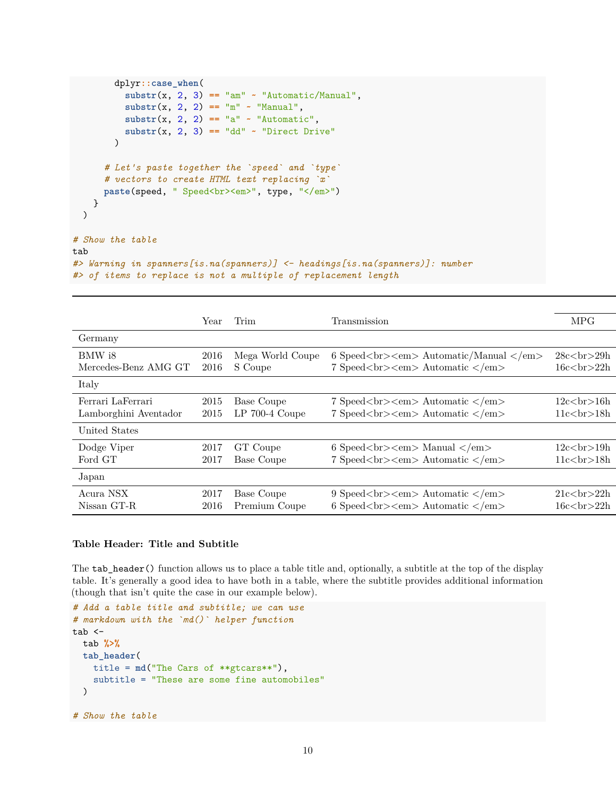```
dplyr::case_when(
            \text{substr}(x, 2, 3) == \text{"am"} \sim \text{"Automatic/Manual",}\text{substr}(x, 2, 2) = \text{m} - \text{m} - \text{m} \text{m} - \text{m}\text{substr}(x, 2, 2) = \text{"a" "4utomatic"},\text{substr}(x, 2, 3) = \text{"dd" - "Direct Drive")
       # Let's paste together the `speed` and `type`
       # vectors to create HTML text replacing `x`
       paste(speed, " Speed<br>>>>>", type, "</em>")
    }
  )
# Show the table
tab
#> Warning in spanners[is.na(spanners)] <- headings[is.na(spanners)]: number
#> of items to replace is not a multiple of replacement length
```

|                                            | Year         | Trim                           | Transmission                                                                                                                          | <b>MPG</b>                         |
|--------------------------------------------|--------------|--------------------------------|---------------------------------------------------------------------------------------------------------------------------------------|------------------------------------|
| Germany                                    |              |                                |                                                                                                                                       |                                    |
| BMW i8<br>Mercedes-Benz AMG GT             | 2016<br>2016 | Mega World Coupe<br>S Coupe    | 6 Speed<br>$\langle b \rangle$ Speed<br>$\langle b \rangle$ Automatic/Manual<br>7 Speed<br><em>Automatic </em>                        | $28cch29h$<br>16c<br>ch>22h        |
| Italy                                      |              |                                |                                                                                                                                       |                                    |
| Ferrari LaFerrari<br>Lamborghini Aventador | 2015<br>2015 | Base Coupe<br>$LP$ 700-4 Coupe | 7 Speed<br><em>Automatic </em><br>7 Speed<br><em>Automatic </em>                                                                      | $12c$ $5r$ $>16h$<br>11c<br>ch>18h |
| United States                              |              |                                |                                                                                                                                       |                                    |
| Dodge Viper<br>Ford GT                     | 2017<br>2017 | GT Coupe<br>Base Coupe         | 6 Speed<br>$\rm{km}$ > $\rm{Manual}$<br>7 Speed<br><em>Automatic </em>                                                                | 12c<br>br>19h<br>11c<br>chr>18h    |
| Japan                                      |              |                                |                                                                                                                                       |                                    |
| Acura NSX<br>Nissan GT-R                   | 2017<br>2016 | Base Coupe<br>Premium Coupe    | 9 Speed<br>$\langle b \rangle$ Speed<br>$\langle b \rangle$ Automatic $\langle b \rangle$<br>6 Speed<br>$\rm2000$ Automatic $\rm2000$ | 21c<br>ch>22h<br>16c<br>ch>22h     |

#### **Table Header: Title and Subtitle**

The tab\_header() function allows us to place a table title and, optionally, a subtitle at the top of the display table. It's generally a good idea to have both in a table, where the subtitle provides additional information (though that isn't quite the case in our example below).

```
# Add a table title and subtitle; we can use
# markdown with the `md()` helper function
tab <-tab %>%
 tab_header(
   title = md("The Cars of **gtcars**"),
   subtitle = "These are some fine automobiles"
 )
# Show the table
```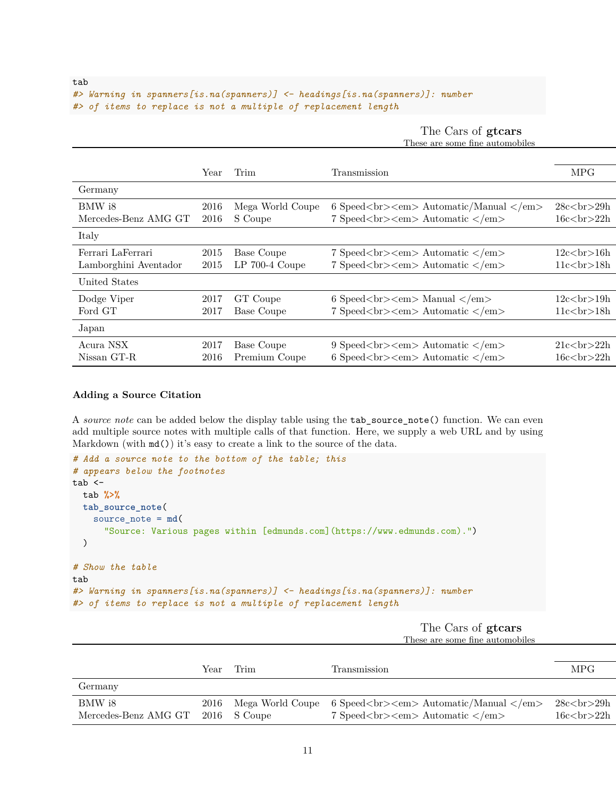```
#> Warning in spanners[is.na(spanners)] <- headings[is.na(spanners)]: number
#> of items to replace is not a multiple of replacement length
```
The Cars of **gtcars** These are some fine automobiles

|                                            | Year         | Trim                           | <b>Transmission</b>                                                                                                                                                                    | <b>MPG</b>                       |
|--------------------------------------------|--------------|--------------------------------|----------------------------------------------------------------------------------------------------------------------------------------------------------------------------------------|----------------------------------|
| Germany                                    |              |                                |                                                                                                                                                                                        |                                  |
| BMW i8<br>Mercedes-Benz AMG GT             | 2016<br>2016 | Mega World Coupe<br>S Coupe    | 6 Speed<br>$\text{Cov}$ Automatic/Manual<br>7 Speed<br><em>Automatic </em>                                                                                                             | $28cchr29h16cch>22h$             |
| Italy                                      |              |                                |                                                                                                                                                                                        |                                  |
| Ferrari LaFerrari<br>Lamborghini Aventador | 2015<br>2015 | Base Coupe<br>$LP$ 700-4 Coupe | 7 Speed<br><em>Automatic </em><br>7 Speed<br><em>Automatic </em>                                                                                                                       | 12c<br>ch>16h<br>11c<br>chr>18h  |
| United States                              |              |                                |                                                                                                                                                                                        |                                  |
| Dodge Viper<br>Ford GT                     | 2017<br>2017 | GT Coupe<br>Base Coupe         | 6 Speed<br>$\rm{km}$ > $\rm{Manual}$<br>7 Speed<br><em>Automatic </em>                                                                                                                 | 12c<br>chr>19h<br>11c<br>chr>18h |
| Japan                                      |              |                                |                                                                                                                                                                                        |                                  |
| Acura NSX<br>Nissan GT-R                   | 2017<br>2016 | Base Coupe<br>Premium Coupe    | 9 Speed<br><em>Automatic </em><br>6 Speed<br>$\epsilon$ /> Speed<br>/> $\epsilon$ /> $\epsilon$ /> $\epsilon$ /> $\epsilon$ /> $\epsilon$ /> $\epsilon$ /> $\epsilon$ /> $\epsilon$ /> | 21c<br>ch>22h<br>16c<br>ch>22h   |

#### **Adding a Source Citation**

A *source note* can be added below the display table using the tab\_source\_note() function. We can even add multiple source notes with multiple calls of that function. Here, we supply a web URL and by using Markdown (with  $md()$ ) it's easy to create a link to the source of the data.

```
# Add a source note to the bottom of the table; this
# appears below the footnotes
tab < -tab %>%
 tab_source_note(
   source_note = md(
      "Source: Various pages within [edmunds.com](https://www.edmunds.com).")
 )
# Show the table
tab
#> Warning in spanners[is.na(spanners)] <- headings[is.na(spanners)]: number
#> of items to replace is not a multiple of replacement length
```
The Cars of **gtcars** These are some fine automobiles

|                                             | Year | Trim | Transmission                                                                                  | MPG                                     |
|---------------------------------------------|------|------|-----------------------------------------------------------------------------------------------|-----------------------------------------|
| Germany                                     |      |      |                                                                                               |                                         |
| BMW i8<br>Mercedes-Benz AMG GT 2016 S Coupe |      |      | 2016 Mega World Coupe 6 Speed<br><em>Automatic/Manual </em><br>7 Speed<br><em>Automatic </em> | 28c <sub>cr</sub> >29h<br>16c<br>ch>22h |

tab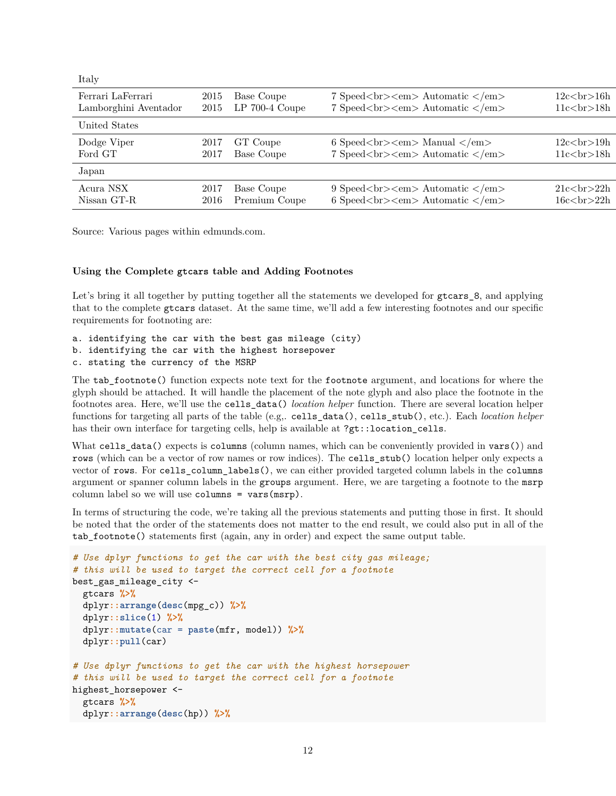| Italy                 |      |                  |                                                   |               |
|-----------------------|------|------------------|---------------------------------------------------|---------------|
| Ferrari LaFerrari     | 2015 | Base Coupe       | 7 Speed<br><em> Automatic </em>                   | 12c<br>br>16h |
| Lamborghini Aventador | 2015 | $LP$ 700-4 Coupe | 7 Speed<br><em>Automatic </em>                    | 11c<br>ch>18h |
| United States         |      |                  |                                                   |               |
| Dodge Viper           | 2017 | GT Coupe         | 6 Speed<br>$\rm{km}$ > Manual                     | 12c<br>br>19h |
| Ford GT               | 2017 | Base Coupe       | 7 Speed<br><em>Automatic </em>                    | 11c<br>ch>18h |
| Japan                 |      |                  |                                                   |               |
| Acura NSX             | 2017 | Base Coupe       | 9 Speed<br><em>Automatic </em>                    | 21c<br>ch>22h |
| Nissan GT-R           | 2016 | Premium Coupe    | 6 Speed<br>$\langle b \rangle$ Speed<br>Automatic | 16c<br>ch>22h |

Source: Various pages within [edmunds.com.](https://www.edmunds.com)

#### **Using the Complete gtcars table and Adding Footnotes**

Let's bring it all together by putting together all the statements we developed for gtcars  $\epsilon$ , and applying that to the complete gtcars dataset. At the same time, we'll add a few interesting footnotes and our specific requirements for footnoting are:

a. identifying the car with the best gas mileage (city) b. identifying the car with the highest horsepower c. stating the currency of the MSRP

The tab\_footnote() function expects note text for the footnote argument, and locations for where the glyph should be attached. It will handle the placement of the note glyph and also place the footnote in the footnotes area. Here, we'll use the cells\_data() *location helper* function. There are several location helper functions for targeting all parts of the table (e.g,. cells\_data(), cells\_stub(), etc.). Each *location helper* has their own interface for targeting cells, help is available at ?gt::location\_cells.

What cells\_data() expects is columns (column names, which can be conveniently provided in vars()) and rows (which can be a vector of row names or row indices). The cells\_stub() location helper only expects a vector of rows. For cells\_column\_labels(), we can either provided targeted column labels in the columns argument or spanner column labels in the groups argument. Here, we are targeting a footnote to the msrp column label so we will use columns = vars(msrp).

In terms of structuring the code, we're taking all the previous statements and putting those in first. It should be noted that the order of the statements does not matter to the end result, we could also put in all of the tab\_footnote() statements first (again, any in order) and expect the same output table.

```
# Use dplyr functions to get the car with the best city gas mileage;
# this will be used to target the correct cell for a footnote
best_gas_mileage_city <-
  gtcars %>%
  dplyr::arrange(desc(mpg_c)) %>%
  dplyr::slice(1) %>%
  dplyr::mutate(car = paste(mfr, model)) %>%
  dplyr::pull(car)
# Use dplyr functions to get the car with the highest horsepower
# this will be used to target the correct cell for a footnote
highest horsepower <-
 gtcars %>%
 dplyr::arrange(desc(hp)) %>%
```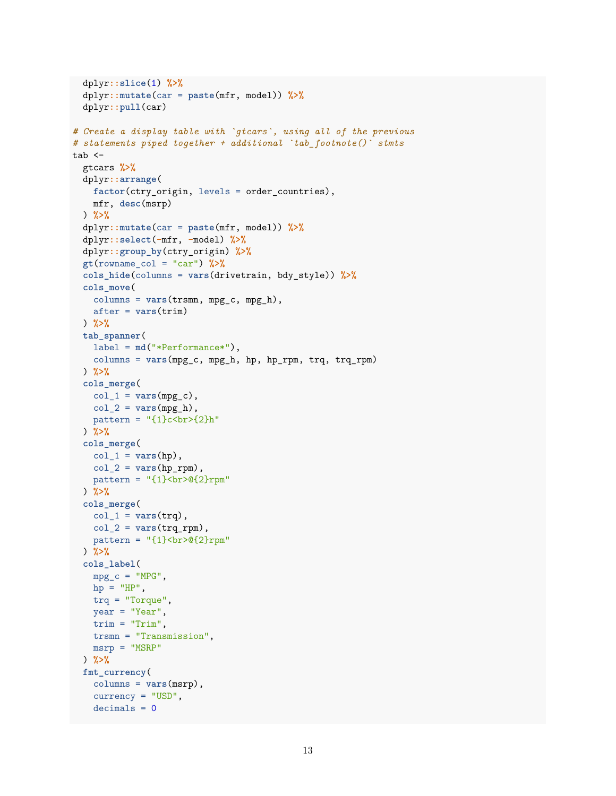```
dplyr::slice(1) %>%
  dplyr::mutate(car = paste(mfr, model)) %>%
 dplyr::pull(car)
# Create a display table with `gtcars`, using all of the previous
# statements piped together + additional `tab_footnote()` stmts
tab < -gtcars %>%
 dplyr::arrange(
   factor(ctry_origin, levels = order_countries),
   mfr, desc(msrp)
 ) %>%
  dplyr::mutate(car = paste(mfr, model)) %>%
  dplyr::select(-mfr, -model) %>%
  dplyr::group_by(ctry_origin) %>%
 gt(rowname_col = "car") %>%
  cols_hide(columns = vars(drivetrain, bdy_style)) %>%
  cols_move(
   columns = vars(trsmn, mpg_c, mpg_h),
   after = vars(trim)
 ) %>%
 tab_spanner(
    label = md("*Performance*"),
   columns = vars(mpg_c, mpg_h, hp, hp_rpm, trq, trq_rpm)
  ) %>%
 cols_merge(
   col_1 = vars(mpg_c),
   col_2 = vars(mpg_h),pattern = "(1)c<br>2}<sup>h</sup>) %>%
 cols_merge(
   col_1 = vars(hp),
   col_2 = vars(hp_rpm),
   pattern = "{1} <br/> <br/> <math>2) %>%
 cols_merge(
   col_1 = vars(trq),
   col 2 = vars(trq rpm),
   pattern = "{1} \chequattern = "{1} \chequattern = ") %>%
  cols_label(
   mpg_c = "MPG",hp = "HP",trq = "Torque",
   year = "Year",
   trim = "Trim",
   trsmn = "Transmission",
   msrp = "MSRP"
 ) %>%
 fmt_currency(
   columns = vars(msrp),
   currency = "USD",
    decimals = 0
```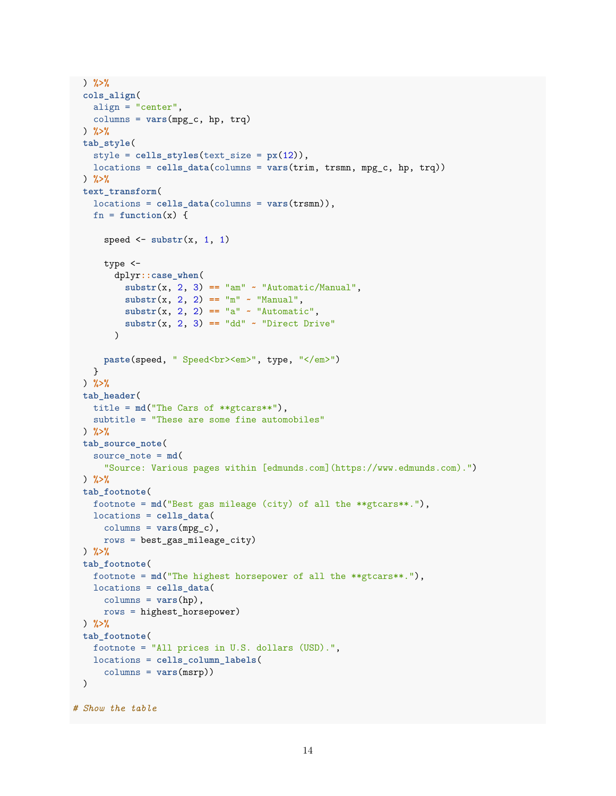```
) %>%
 cols_align(
   align = "center",
   columns = vars(mpg_c, hp, trq)
 ) %>%
 tab_style(
   style = cells_styles(text_size = px(12)),
   locations = cells_data(columns = vars(trim, trsmn, mpg_c, hp, trq))
 ) %>%
 text_transform(
   locations = cells_data(columns = vars(trsmn)),
   fn = function(x) {
      speed \leq substr(x, 1, 1)type <-
        dplyr::case_when(
          \text{substr}(x, 2, 3) == \text{"am"} \sim \text{"Automatic/Manual",}\text{substr}(x, 2, 2) = \text{"m" "Mannual",}\text{substr}(x, 2, 2) = \text{"a" "4utomatic",}\text{substr}(x, 2, 3) = \text{"dd" - "Direct Drive"\lambdapaste(speed, " Speed<br><em>", type, "</em>")
   }
 ) %>%
 tab_header(
   title = md("The Cars of **gtcars**"),
   subtitle = "These are some fine automobiles"
 ) %>%
 tab_source_note(
   source_note = md(
      "Source: Various pages within [edmunds.com](https://www.edmunds.com).")
 ) %>%
 tab_footnote(
   footnote = md("Best gas mileage (city) of all the **gtcars**."),
   locations = cells_data(
      columns = vars(mpg_c),
     rows = best_gas_mileage_city)
 ) %>%
 tab_footnote(
   footnote = md("The highest horsepower of all the **gtcars**."),
   locations = cells_data(
     columns = vars(hp),
     rows = highest_horsepower)
 ) %>%
 tab_footnote(
   footnote = "All prices in U.S. dollars (USD).",
   locations = cells_column_labels(
      columns = vars(msrp))
 )
# Show the table
```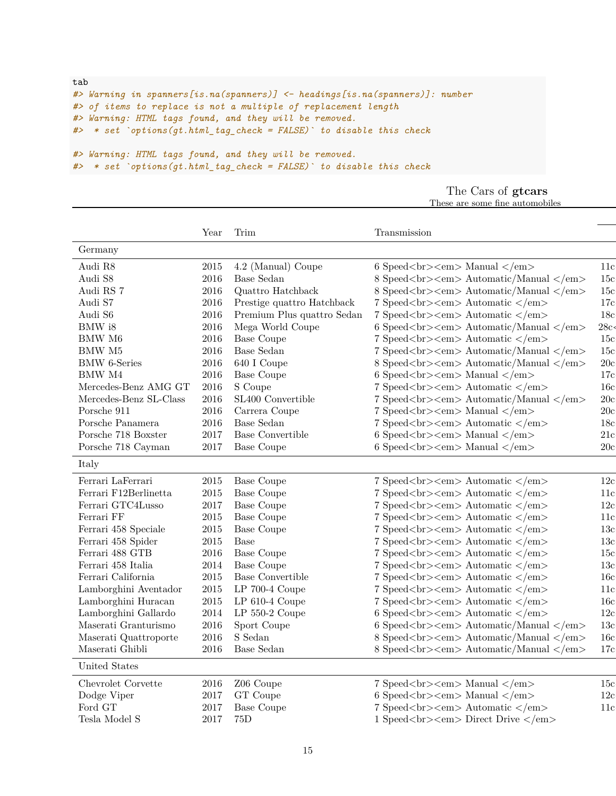```
tab
#> Warning in spanners[is.na(spanners)] <- headings[is.na(spanners)]: number
#> of items to replace is not a multiple of replacement length
#> Warning: HTML tags found, and they will be removed.
#> * set `options(gt.html_tag_check = FALSE)` to disable this check
#> Warning: HTML tags found, and they will be removed.
#> * set `options(gt.html_tag_check = FALSE)` to disable this check
```

|  | The Cars of gtcars              |
|--|---------------------------------|
|  | These are some fine automobiles |

|                        | Year     | Trim                       | Transmission                                                |                 |
|------------------------|----------|----------------------------|-------------------------------------------------------------|-----------------|
| Germany                |          |                            |                                                             |                 |
| Audi R8                | 2015     | 4.2 (Manual) Coupe         | 6 Speed<br>$\rm{km}$ > $\rm{Manual}$                        | 11c             |
| Audi S8                | 2016     | <b>Base Sedan</b>          | 8 Speed<br>sharp Automatic/Manual                           | 15c             |
| Audi RS 7              | 2016     | Quattro Hatchback          | 8 Speed<br>sharp Automatic/Manual                           | 15c             |
| Audi S7                | 2016     | Prestige quattro Hatchback | 7 Speed<br><em>Automatic </em>                              | 17c             |
| Audi S6                | 2016     | Premium Plus quattro Sedan | 7 Speed<br><em>Automatic </em>                              | 18 <sub>c</sub> |
| $\rm BMW$ i8           | 2016     | Mega World Coupe           | 6 Speed<br><em>Automatic/Manual </em>                       | 28c<            |
| <b>BMW M6</b>          | 2016     | <b>Base Coupe</b>          | 7 Speed<br><em>Automatic </em>                              | 15 <sub>c</sub> |
| <b>BMW M5</b>          | 2016     | Base Sedan                 | 7 Speed<br><em>Automatic/Manual </em>                       | 15c             |
| <b>BMW</b> 6-Series    | $\,2016$ | 640 I Coupe                | 8 Speed<br>sharp Automatic/Manual                           | 20c             |
| <b>BMW M4</b>          | 2016     | <b>Base Coupe</b>          | 6 Speed<br>$\rm{km}$ > $\rm{Manual}$                        | 17c             |
| Mercedes-Benz AMG GT   | 2016     | S Coupe                    | 7 Speed<br><em>Automatic </em>                              | 16c             |
| Mercedes-Benz SL-Class | 2016     | SL400 Convertible          | 7 Speed<br><br>br> <em> Automatic/Manual </em>              | 20c             |
| Porsche 911            | 2016     | Carrera Coupe              | 7 Speed<br><em>Manual </em>                                 | 20c             |
| Porsche Panamera       | 2016     | Base Sedan                 | 7 Speed<br><em>Automatic </em>                              | 18c             |
| Porsche 718 Boxster    | 2017     | Base Convertible           | 6 Speed<br>$\rm{Chm}\rm{>}$ Manual $\rm{<} / \rm{em}\rm{>}$ | 21c             |
| Porsche 718 Cayman     | 2017     | <b>Base Coupe</b>          | 6 Speed<br>$\rm{Chz}$ Speed $\rm{Chz}$                      | 20c             |
| Italy                  |          |                            |                                                             |                 |
|                        |          |                            |                                                             |                 |
| Ferrari LaFerrari      | 2015     | <b>Base Coupe</b>          | 7 Speed<br><em>Automatic </em>                              | 12c             |
| Ferrari F12Berlinetta  | 2015     | <b>Base Coupe</b>          | 7 Speed<br><em>Automatic </em>                              | 11c             |
| Ferrari GTC4Lusso      | 2017     | <b>Base Coupe</b>          | 7 Speed<br><em>Automatic </em>                              | 12c             |
| Ferrari FF             | 2015     | <b>Base Coupe</b>          | 7 Speed<br><em>Automatic </em>                              | 11c             |
| Ferrari 458 Speciale   | 2015     | <b>Base Coupe</b>          | 7 Speed<br>sharp> <em>Automatic </em>                       | 13c             |
| Ferrari 458 Spider     | 2015     | Base                       | 7 Speed<br><em>Automatic </em>                              | 13c             |
| Ferrari 488 GTB        | 2016     | <b>Base Coupe</b>          | 7 Speed<br><em>Automatic </em>                              | 15c             |
| Ferrari 458 Italia     | 2014     | <b>Base Coupe</b>          | 7 Speed<br><em>Automatic </em>                              | 13c             |
| Ferrari California     | 2015     | <b>Base Convertible</b>    | 7 Speed<br><em>Automatic </em>                              | 16c             |
| Lamborghini Aventador  | 2015     | $LP$ 700-4 Coupe           | 7 Speed<br><em>Automatic </em>                              | 11c             |
| Lamborghini Huracan    | 2015     | $LP 610-4$ Coupe           | 7 Speed<br><em>Automatic </em>                              | 16c             |
| Lamborghini Gallardo   | 2014     | $LP 550-2$ Coupe           | 6 Speed<br>$\langle b \rangle$ Speed<br>Automatic           | 12c             |
| Maserati Granturismo   | 2016     | Sport Coupe                | 6 Speed<br>sharp Automatic/Manual                           | 13c             |
| Maserati Quattroporte  | 2016     | S Sedan                    | 8 Speed<br><em>Automatic/Manual </em>                       | 16c             |
| Maserati Ghibli        | 2016     | <b>Base Sedan</b>          | 8 Speed<br>sharp Automatic/Manual                           | 17c             |
| United States          |          |                            |                                                             |                 |
|                        |          |                            |                                                             |                 |
| Chevrolet Corvette     | 2016     | Z06 Coupe                  | 7 Speed<br><em>Manual </em>                                 | 15c             |
| Dodge Viper            | 2017     | GT Coupe                   | 6 Speed<br>$\rm{Chz}$ Speed $\rm{Chz}$                      | 12c             |
| Ford GT                | 2017     | <b>Base Coupe</b>          | 7 Speed<br><em>Automatic </em>                              | 11c             |
| Tesla Model S          | 2017     | 75D                        | 1 Speed<br><em> Direct Drive </em>                          |                 |